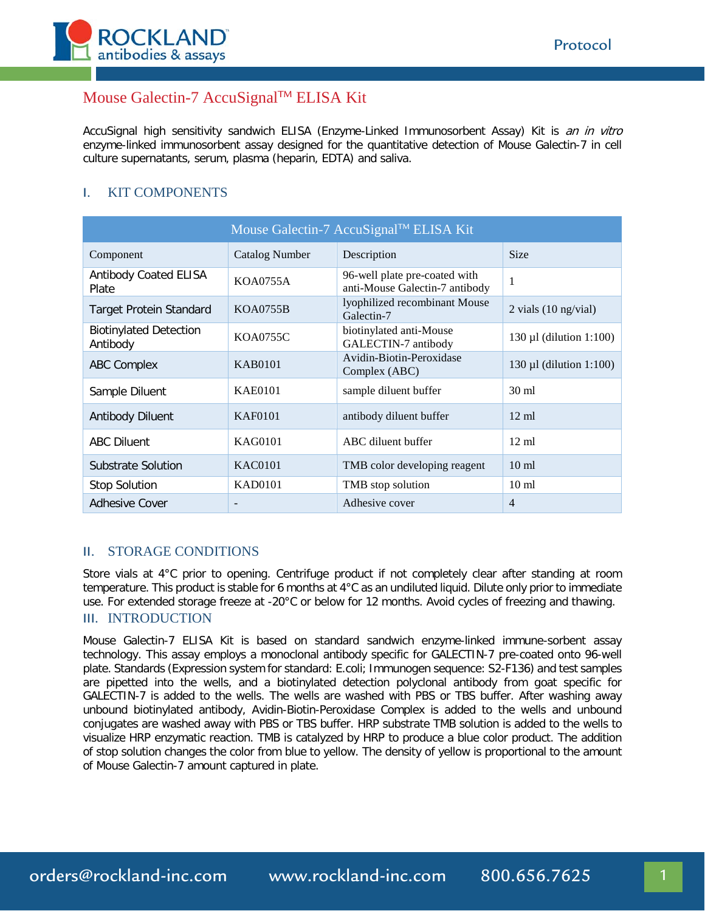

# Mouse Galectin-7 AccuSignalTM ELISA Kit

AccuSignal high sensitivity sandwich ELISA (Enzyme-Linked Immunosorbent Assay) Kit is an in vitro enzyme-linked immunosorbent assay designed for the quantitative detection of Mouse Galectin-7 in cell culture supernatants, serum, plasma (heparin, EDTA) and saliva.

# I. KIT COMPONENTS

| Mouse Galectin-7 AccuSignal™ ELISA Kit    |                       |                                                                 |                                |
|-------------------------------------------|-----------------------|-----------------------------------------------------------------|--------------------------------|
| Component                                 | <b>Catalog Number</b> | Description                                                     | <b>Size</b>                    |
| <b>Antibody Coated ELISA</b><br>Plate     | KOA0755A              | 96-well plate pre-coated with<br>anti-Mouse Galectin-7 antibody | 1                              |
| Target Protein Standard                   | <b>KOA0755B</b>       | lyophilized recombinant Mouse<br>Galectin-7                     | 2 vials $(10 \text{ ng/vial})$ |
| <b>Biotinylated Detection</b><br>Antibody | KOA0755C              | biotinylated anti-Mouse<br>GALECTIN-7 antibody                  | $130 \mu l$ (dilution 1:100)   |
| <b>ABC Complex</b>                        | KAB0101               | Avidin-Biotin-Peroxidase<br>Complex (ABC)                       | $130 \mu l$ (dilution 1:100)   |
| Sample Diluent                            | <b>KAE0101</b>        | sample diluent buffer                                           | $30 \text{ ml}$                |
| <b>Antibody Diluent</b>                   | KAF0101               | antibody diluent buffer                                         | $12 \text{ ml}$                |
| <b>ABC Diluent</b>                        | KAG0101               | ABC diluent buffer                                              | $12 \text{ ml}$                |
| Substrate Solution                        | <b>KAC0101</b>        | TMB color developing reagent                                    | 10 <sub>ml</sub>               |
| <b>Stop Solution</b>                      | <b>KAD0101</b>        | TMB stop solution                                               | $10 \text{ ml}$                |
| <b>Adhesive Cover</b>                     |                       | Adhesive cover                                                  | $\overline{4}$                 |

#### II. STORAGE CONDITIONS

Store vials at 4°C prior to opening. Centrifuge product if not completely clear after standing at room temperature. This product is stable for 6 months at 4°C as an undiluted liquid. Dilute only prior to immediate use. For extended storage freeze at -20°C or below for 12 months. Avoid cycles of freezing and thawing. III. INTRODUCTION

Mouse Galectin-7 ELISA Kit is based on standard sandwich enzyme-linked immune-sorbent assay technology. This assay employs a monoclonal antibody specific for GALECTIN-7 pre-coated onto 96-well plate. Standards (Expression system for standard: E.coli; Immunogen sequence: S2-F136) and test samples are pipetted into the wells, and a biotinylated detection polyclonal antibody from goat specific for GALECTIN-7 is added to the wells. The wells are washed with PBS or TBS buffer. After washing away unbound biotinylated antibody, Avidin-Biotin-Peroxidase Complex is added to the wells and unbound conjugates are washed away with PBS or TBS buffer. HRP substrate TMB solution is added to the wells to visualize HRP enzymatic reaction. TMB is catalyzed by HRP to produce a blue color product. The addition of stop solution changes the color from blue to yellow. The density of yellow is proportional to the amount of Mouse Galectin-7 amount captured in plate.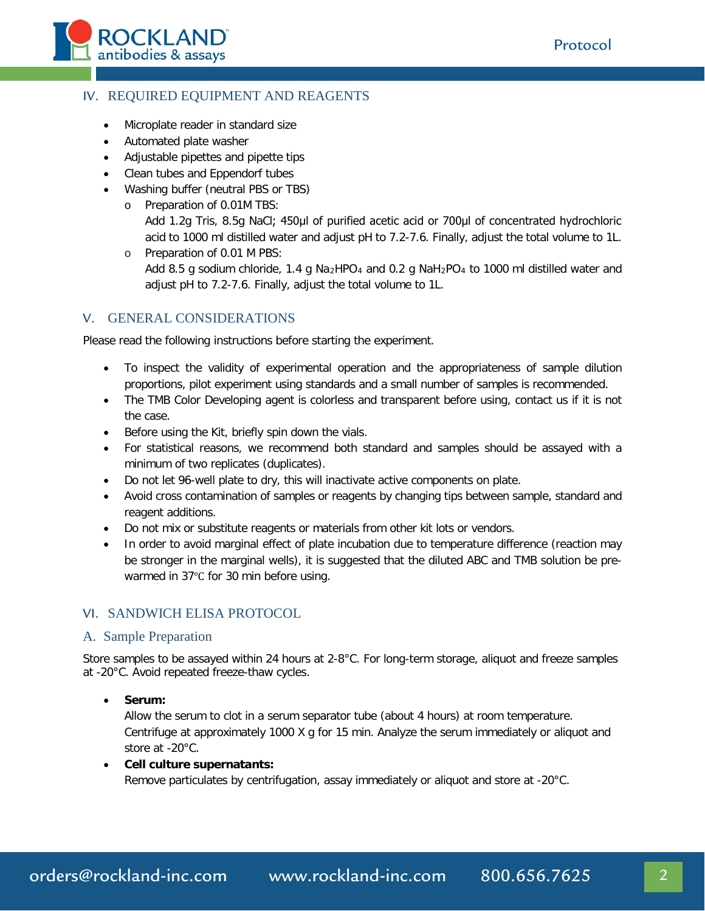

# IV. REQUIRED EQUIPMENT AND REAGENTS

- Microplate reader in standard size
- Automated plate washer
- Adjustable pipettes and pipette tips
- Clean tubes and Eppendorf tubes
- Washing buffer (neutral PBS or TBS)
	- o Preparation of 0.01M TBS: Add 1.2g Tris, 8.5g NaCl; 450μl of purified acetic acid or 700μl of concentrated hydrochloric acid to 1000 ml distilled water and adjust pH to 7.2-7.6. Finally, adjust the total volume to 1L.
	- o Preparation of 0.01 M PBS: Add 8.5 g sodium chloride, 1.4 g Na<sub>2</sub>HPO<sub>4</sub> and 0.2 g NaH<sub>2</sub>PO<sub>4</sub> to 1000 ml distilled water and adjust pH to 7.2-7.6. Finally, adjust the total volume to 1L.

#### V. GENERAL CONSIDERATIONS

Please read the following instructions before starting the experiment.

- To inspect the validity of experimental operation and the appropriateness of sample dilution proportions, pilot experiment using standards and a small number of samples is recommended.
- The TMB Color Developing agent is colorless and transparent before using, contact us if it is not the case.
- Before using the Kit, briefly spin down the vials.
- For statistical reasons, we recommend both standard and samples should be assayed with a minimum of two replicates (duplicates).
- Do not let 96-well plate to dry, this will inactivate active components on plate.
- Avoid cross contamination of samples or reagents by changing tips between sample, standard and reagent additions.
- Do not mix or substitute reagents or materials from other kit lots or vendors.
- In order to avoid marginal effect of plate incubation due to temperature difference (reaction may be stronger in the marginal wells), it is suggested that the diluted ABC and TMB solution be prewarmed in 37℃ for 30 min before using.

#### VI. SANDWICH ELISA PROTOCOL

#### A. Sample Preparation

Store samples to be assayed within 24 hours at 2-8°C. For long-term storage, aliquot and freeze samples at -20°C. Avoid repeated freeze-thaw cycles.

• **Serum:**

Allow the serum to clot in a serum separator tube (about 4 hours) at room temperature. Centrifuge at approximately 1000 X g for 15 min. Analyze the serum immediately or aliquot and store at -20°C.

• **Cell culture supernatants:**  Remove particulates by centrifugation, assay immediately or aliquot and store at -20°C.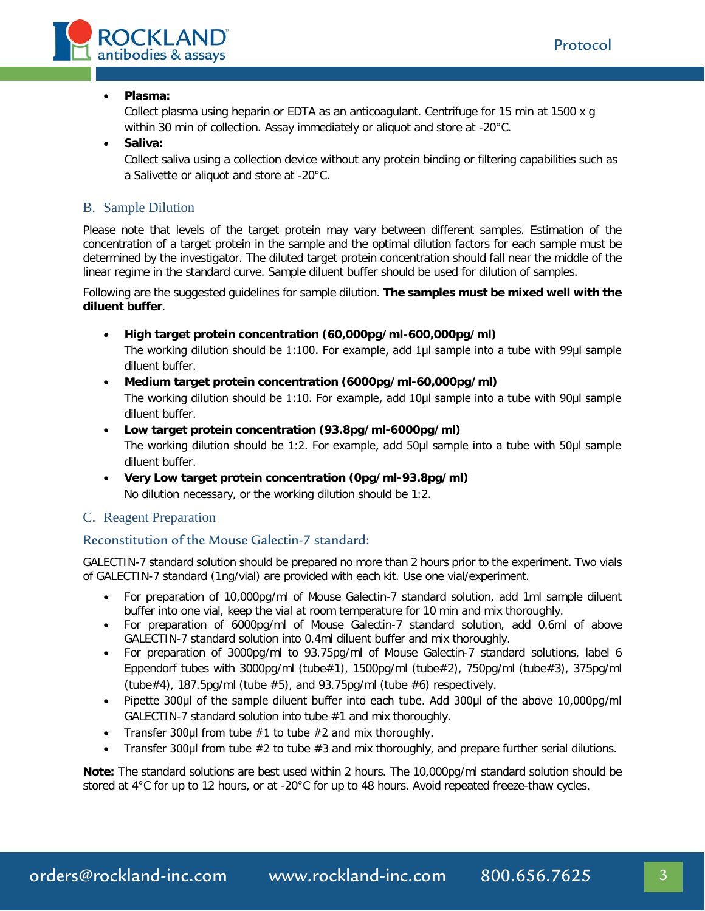

#### • **Plasma:**

Collect plasma using heparin or EDTA as an anticoagulant. Centrifuge for 15 min at 1500 x g within 30 min of collection. Assay immediately or aliquot and store at -20°C.

#### • **Saliva:**

Collect saliva using a collection device without any protein binding or filtering capabilities such as a Salivette or aliquot and store at -20°C.

### B. Sample Dilution

Please note that levels of the target protein may vary between different samples. Estimation of the concentration of a target protein in the sample and the optimal dilution factors for each sample must be determined by the investigator. The diluted target protein concentration should fall near the middle of the linear regime in the standard curve. Sample diluent buffer should be used for dilution of samples.

Following are the suggested guidelines for sample dilution. **The samples must be mixed well with the diluent buffer**.

- **High target protein concentration (60,000pg/ml-600,000pg/ml)** The working dilution should be 1:100. For example, add 1μl sample into a tube with 99μl sample diluent buffer.
- **Medium target protein concentration (6000pg/ml-60,000pg/ml)** The working dilution should be 1:10. For example, add 10μl sample into a tube with 90μl sample diluent buffer.
- **Low target protein concentration (93.8pg/ml-6000pg/ml)** The working dilution should be 1:2. For example, add 50μl sample into a tube with 50μl sample diluent buffer.
- **Very Low target protein concentration (0pg/ml-93.8pg/ml)** No dilution necessary, or the working dilution should be 1:2.

#### C. Reagent Preparation

### Reconstitution of the Mouse Galectin-7 standard:

GALECTIN-7 standard solution should be prepared no more than 2 hours prior to the experiment. Two vials of GALECTIN-7 standard (1ng/vial) are provided with each kit. Use one vial/experiment.

- For preparation of 10,000pg/ml of Mouse Galectin-7 standard solution, add 1ml sample diluent buffer into one vial, keep the vial at room temperature for 10 min and mix thoroughly.
- For preparation of 6000pg/ml of Mouse Galectin-7 standard solution, add 0.6ml of above GALECTIN-7 standard solution into 0.4ml diluent buffer and mix thoroughly.
- For preparation of 3000pg/ml to 93.75pg/ml of Mouse Galectin-7 standard solutions, label 6 Eppendorf tubes with 3000pg/ml (tube#1), 1500pg/ml (tube#2), 750pg/ml (tube#3), 375pg/ml (tube#4), 187.5pg/ml (tube #5), and 93.75pg/ml (tube #6) respectively.
- Pipette 300μl of the sample diluent buffer into each tube. Add 300μl of the above 10,000pg/ml GALECTIN-7 standard solution into tube #1 and mix thoroughly.
- Transfer 300 $\mu$ I from tube  $\#1$  to tube  $\#2$  and mix thoroughly.
- Transfer 300μl from tube #2 to tube #3 and mix thoroughly, and prepare further serial dilutions.

**Note:** The standard solutions are best used within 2 hours. The 10,000pg/ml standard solution should be stored at 4°C for up to 12 hours, or at -20°C for up to 48 hours. Avoid repeated freeze-thaw cycles.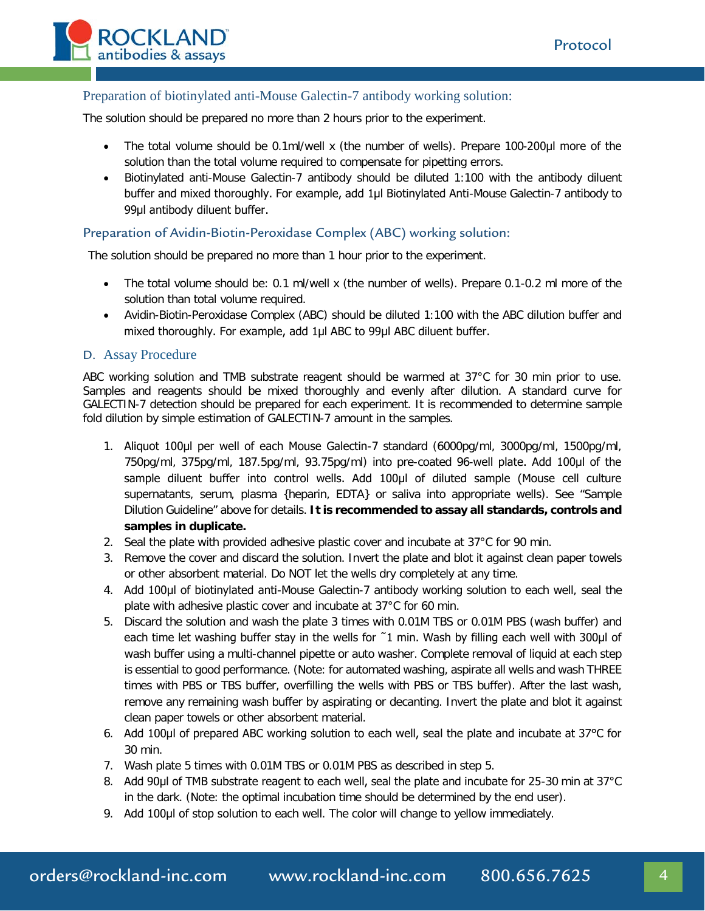

### Preparation of biotinylated anti-Mouse Galectin-7 antibody working solution:

The solution should be prepared no more than 2 hours prior to the experiment.

- The total volume should be 0.1ml/well x (the number of wells). Prepare 100-200μl more of the solution than the total volume required to compensate for pipetting errors.
- Biotinylated anti-Mouse Galectin-7 antibody should be diluted 1:100 with the antibody diluent buffer and mixed thoroughly. For example, add 1μl Biotinylated Anti-Mouse Galectin-7 antibody to 99μl antibody diluent buffer.

#### Preparation of Avidin-Biotin-Peroxidase Complex (ABC) working solution:

The solution should be prepared no more than 1 hour prior to the experiment.

- The total volume should be: 0.1 ml/well x (the number of wells). Prepare 0.1-0.2 ml more of the solution than total volume required.
- Avidin-Biotin-Peroxidase Complex (ABC) should be diluted 1:100 with the ABC dilution buffer and mixed thoroughly. For example, add 1μl ABC to 99μl ABC diluent buffer.

#### D. Assay Procedure

ABC working solution and TMB substrate reagent should be warmed at 37°C for 30 min prior to use. Samples and reagents should be mixed thoroughly and evenly after dilution. A standard curve for GALECTIN-7 detection should be prepared for each experiment. It is recommended to determine sample fold dilution by simple estimation of GALECTIN-7 amount in the samples.

- 1. Aliquot 100μl per well of each Mouse Galectin-7 standard (6000pg/ml, 3000pg/ml, 1500pg/ml, 750pg/ml, 375pg/ml, 187.5pg/ml, 93.75pg/ml) into pre-coated 96-well plate. Add 100μl of the sample diluent buffer into control wells. Add 100µl of diluted sample (Mouse cell culture supernatants, serum, plasma {heparin, EDTA} or saliva into appropriate wells). See "Sample Dilution Guideline" above for details. **It is recommended to assay all standards, controls and samples in duplicate.**
- 2. Seal the plate with provided adhesive plastic cover and incubate at 37°C for 90 min.
- 3. Remove the cover and discard the solution. Invert the plate and blot it against clean paper towels or other absorbent material. Do NOT let the wells dry completely at any time.
- 4. Add 100μl of biotinylated anti-Mouse Galectin-7 antibody working solution to each well, seal the plate with adhesive plastic cover and incubate at 37°C for 60 min.
- 5. Discard the solution and wash the plate 3 times with 0.01M TBS or 0.01M PBS (wash buffer) and each time let washing buffer stay in the wells for ˜1 min. Wash by filling each well with 300μl of wash buffer using a multi-channel pipette or auto washer. Complete removal of liquid at each step is essential to good performance. (Note: for automated washing, aspirate all wells and wash THREE times with PBS or TBS buffer, overfilling the wells with PBS or TBS buffer). After the last wash, remove any remaining wash buffer by aspirating or decanting. Invert the plate and blot it against clean paper towels or other absorbent material.
- 6. Add 100μl of prepared ABC working solution to each well, seal the plate and incubate at 37°C for 30 min.
- 7. Wash plate 5 times with 0.01M TBS or 0.01M PBS as described in step 5.
- 8. Add 90µl of TMB substrate reagent to each well, seal the plate and incubate for 25-30 min at 37°C in the dark. (Note: the optimal incubation time should be determined by the end user).
- 9. Add 100μl of stop solution to each well. The color will change to yellow immediately.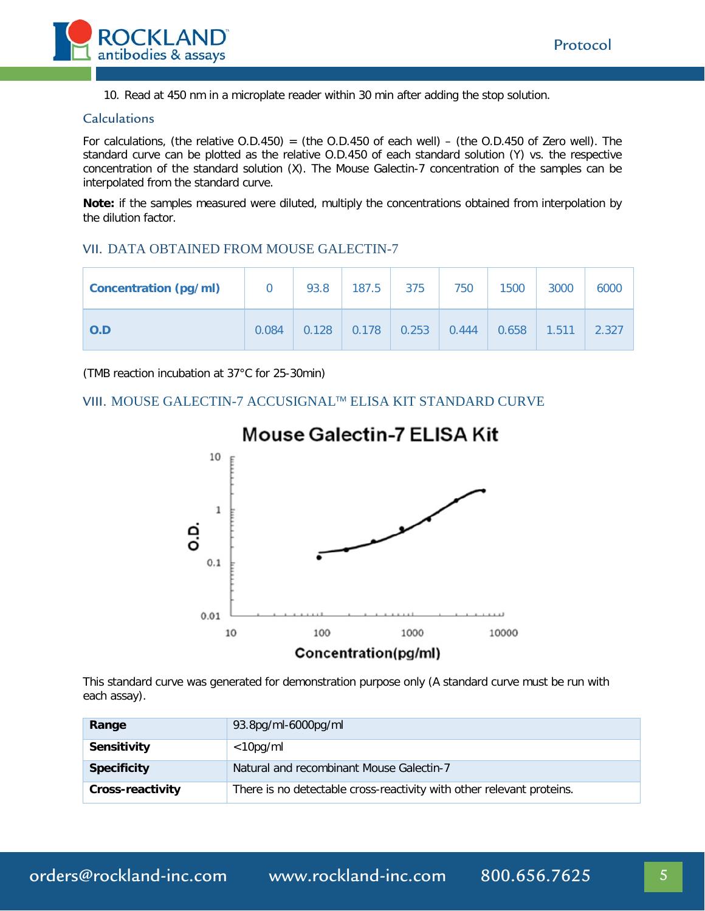

10. Read at 450 nm in a microplate reader within 30 min after adding the stop solution.

#### Calculations

For calculations, (the relative  $O.D.450$ ) = (the  $O.D.450$  of each well) – (the  $O.D.450$  of Zero well). The standard curve can be plotted as the relative O.D.450 of each standard solution (Y) vs. the respective concentration of the standard solution (X). The Mouse Galectin-7 concentration of the samples can be interpolated from the standard curve.

**Note:** if the samples measured were diluted, multiply the concentrations obtained from interpolation by the dilution factor.

#### VII. DATA OBTAINED FROM MOUSE GALECTIN-7

| <b>Concentration (pg/ml)</b> |       | 93.8  | 187.5 | 375   | 750   | 1500  | 3000  | 6000  |
|------------------------------|-------|-------|-------|-------|-------|-------|-------|-------|
| O.D                          | 0.084 | 0.128 | 0.178 | 0.253 | 0.444 | 0.658 | 1.511 | 2.327 |

(TMB reaction incubation at 37°C for 25-30min)

#### VIII. MOUSE GALECTIN-7 ACCUSIGNALTM ELISA KIT STANDARD CURVE



# **Mouse Galectin-7 ELISA Kit**

This standard curve was generated for demonstration purpose only (A standard curve must be run with each assay).

| Range              | 93.8pg/ml-6000pg/ml                                                   |  |
|--------------------|-----------------------------------------------------------------------|--|
| <b>Sensitivity</b> | $<$ 10pg/ml                                                           |  |
| <b>Specificity</b> | Natural and recombinant Mouse Galectin-7                              |  |
| Cross-reactivity   | There is no detectable cross-reactivity with other relevant proteins. |  |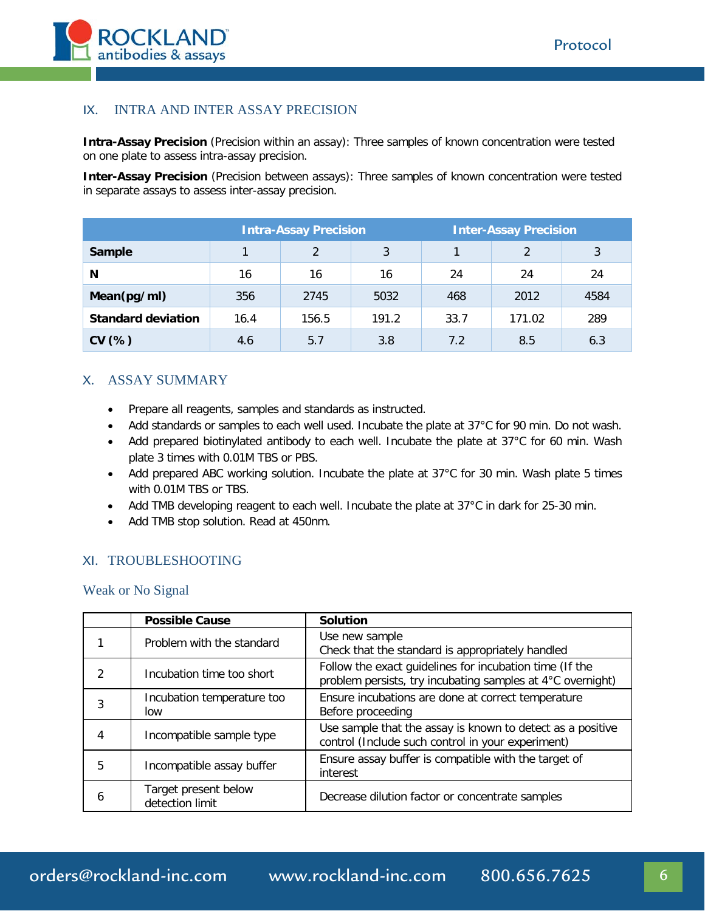

### IX. INTRA AND INTER ASSAY PRECISION

**Intra-Assay Precision** (Precision within an assay): Three samples of known concentration were tested on one plate to assess intra-assay precision.

**Inter-Assay Precision** (Precision between assays): Three samples of known concentration were tested in separate assays to assess inter-assay precision.

|                           | <b>Intra-Assay Precision</b> |               |       |      | <b>Inter-Assay Precision</b> |      |
|---------------------------|------------------------------|---------------|-------|------|------------------------------|------|
| Sample                    |                              | $\mathcal{P}$ | 3     |      | $\mathfrak{D}$               | 3    |
| N                         | 16                           | 16            | 16    | 24   | 24                           | 24   |
| Mean(pg/ml)               | 356                          | 2745          | 5032  | 468  | 2012                         | 4584 |
| <b>Standard deviation</b> | 16.4                         | 156.5         | 191.2 | 33.7 | 171.02                       | 289  |
| CV(%)                     | 4.6                          | 5.7           | 3.8   | 7.2  | 8.5                          | 6.3  |

### X. ASSAY SUMMARY

- Prepare all reagents, samples and standards as instructed.
- Add standards or samples to each well used. Incubate the plate at 37°C for 90 min. Do not wash.
- Add prepared biotinylated antibody to each well. Incubate the plate at 37°C for 60 min. Wash plate 3 times with 0.01M TBS or PBS.
- Add prepared ABC working solution. Incubate the plate at 37°C for 30 min. Wash plate 5 times with 0.01M TBS or TBS.
- Add TMB developing reagent to each well. Incubate the plate at 37°C in dark for 25-30 min.
- Add TMB stop solution. Read at 450nm.

#### XI. TROUBLESHOOTING

Weak or No Signal

|   | <b>Possible Cause</b>                   | <b>Solution</b>                                                                                                       |
|---|-----------------------------------------|-----------------------------------------------------------------------------------------------------------------------|
|   | Problem with the standard               | Use new sample<br>Check that the standard is appropriately handled                                                    |
| 2 | Incubation time too short               | Follow the exact guidelines for incubation time (If the<br>problem persists, try incubating samples at 4°C overnight) |
| 3 | Incubation temperature too<br>low       | Ensure incubations are done at correct temperature<br>Before proceeding                                               |
| 4 | Incompatible sample type                | Use sample that the assay is known to detect as a positive<br>control (Include such control in your experiment)       |
| 5 | Incompatible assay buffer               | Ensure assay buffer is compatible with the target of<br>interest                                                      |
| 6 | Target present below<br>detection limit | Decrease dilution factor or concentrate samples                                                                       |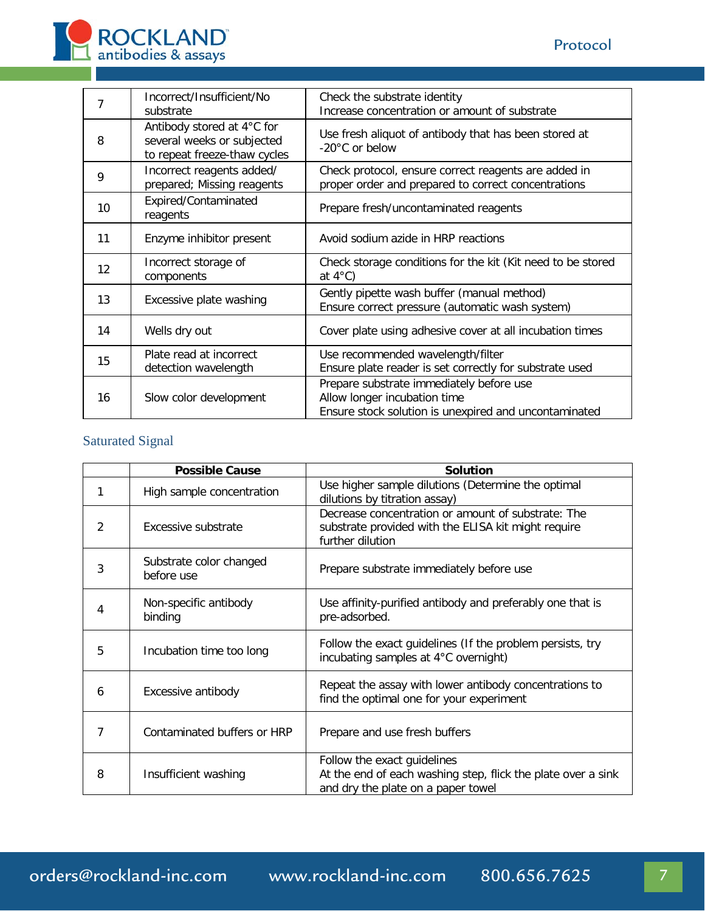

| 7  | Incorrect/Insufficient/No<br>substrate                                                   | Check the substrate identity<br>Increase concentration or amount of substrate                                                     |
|----|------------------------------------------------------------------------------------------|-----------------------------------------------------------------------------------------------------------------------------------|
| 8  | Antibody stored at 4°C for<br>several weeks or subjected<br>to repeat freeze-thaw cycles | Use fresh aliquot of antibody that has been stored at<br>-20°C or below                                                           |
| 9  | Incorrect reagents added/<br>prepared; Missing reagents                                  | Check protocol, ensure correct reagents are added in<br>proper order and prepared to correct concentrations                       |
| 10 | Expired/Contaminated<br>reagents                                                         | Prepare fresh/uncontaminated reagents                                                                                             |
| 11 | Enzyme inhibitor present                                                                 | Avoid sodium azide in HRP reactions                                                                                               |
| 12 | Incorrect storage of<br>components                                                       | Check storage conditions for the kit (Kit need to be stored<br>at $4^{\circ}$ C)                                                  |
| 13 | Excessive plate washing                                                                  | Gently pipette wash buffer (manual method)<br>Ensure correct pressure (automatic wash system)                                     |
| 14 | Wells dry out                                                                            | Cover plate using adhesive cover at all incubation times                                                                          |
| 15 | Plate read at incorrect<br>detection wavelength                                          | Use recommended wavelength/filter<br>Ensure plate reader is set correctly for substrate used                                      |
| 16 | Slow color development                                                                   | Prepare substrate immediately before use<br>Allow longer incubation time<br>Ensure stock solution is unexpired and uncontaminated |

# Saturated Signal

|   | <b>Possible Cause</b>                 | <b>Solution</b>                                                                                                                   |
|---|---------------------------------------|-----------------------------------------------------------------------------------------------------------------------------------|
| 1 | High sample concentration             | Use higher sample dilutions (Determine the optimal<br>dilutions by titration assay)                                               |
| 2 | Excessive substrate                   | Decrease concentration or amount of substrate: The<br>substrate provided with the ELISA kit might require<br>further dilution     |
| 3 | Substrate color changed<br>before use | Prepare substrate immediately before use                                                                                          |
| 4 | Non-specific antibody<br>binding      | Use affinity-purified antibody and preferably one that is<br>pre-adsorbed.                                                        |
| 5 | Incubation time too long              | Follow the exact guidelines (If the problem persists, try<br>incubating samples at 4°C overnight)                                 |
| 6 | Excessive antibody                    | Repeat the assay with lower antibody concentrations to<br>find the optimal one for your experiment                                |
| 7 | Contaminated buffers or HRP           | Prepare and use fresh buffers                                                                                                     |
| 8 | Insufficient washing                  | Follow the exact guidelines<br>At the end of each washing step, flick the plate over a sink<br>and dry the plate on a paper towel |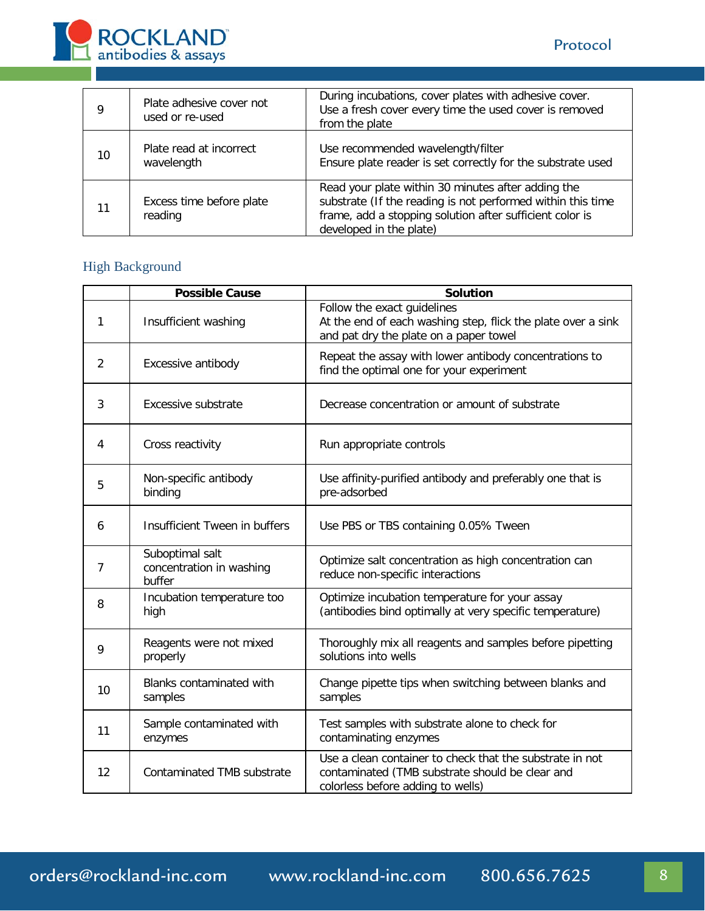

| 9  | Plate adhesive cover not<br>used or re-used | During incubations, cover plates with adhesive cover.<br>Use a fresh cover every time the used cover is removed<br>from the plate                                                                        |
|----|---------------------------------------------|----------------------------------------------------------------------------------------------------------------------------------------------------------------------------------------------------------|
| 10 | Plate read at incorrect<br>wavelength       | Use recommended wavelength/filter<br>Ensure plate reader is set correctly for the substrate used                                                                                                         |
| 11 | Excess time before plate<br>reading         | Read your plate within 30 minutes after adding the<br>substrate (If the reading is not performed within this time<br>frame, add a stopping solution after sufficient color is<br>developed in the plate) |

# High Background

|    | <b>Possible Cause</b>                                 | <b>Solution</b>                                                                                                                                  |
|----|-------------------------------------------------------|--------------------------------------------------------------------------------------------------------------------------------------------------|
| 1  | Insufficient washing                                  | Follow the exact guidelines<br>At the end of each washing step, flick the plate over a sink<br>and pat dry the plate on a paper towel            |
| 2  | Excessive antibody                                    | Repeat the assay with lower antibody concentrations to<br>find the optimal one for your experiment                                               |
| 3  | Excessive substrate                                   | Decrease concentration or amount of substrate                                                                                                    |
| 4  | Cross reactivity                                      | Run appropriate controls                                                                                                                         |
| 5  | Non-specific antibody<br>binding                      | Use affinity-purified antibody and preferably one that is<br>pre-adsorbed                                                                        |
| 6  | Insufficient Tween in buffers                         | Use PBS or TBS containing 0.05% Tween                                                                                                            |
| 7  | Suboptimal salt<br>concentration in washing<br>buffer | Optimize salt concentration as high concentration can<br>reduce non-specific interactions                                                        |
| 8  | Incubation temperature too<br>high                    | Optimize incubation temperature for your assay<br>(antibodies bind optimally at very specific temperature)                                       |
| 9  | Reagents were not mixed<br>properly                   | Thoroughly mix all reagents and samples before pipetting<br>solutions into wells                                                                 |
| 10 | Blanks contaminated with<br>samples                   | Change pipette tips when switching between blanks and<br>samples                                                                                 |
| 11 | Sample contaminated with<br>enzymes                   | Test samples with substrate alone to check for<br>contaminating enzymes                                                                          |
| 12 | Contaminated TMB substrate                            | Use a clean container to check that the substrate in not<br>contaminated (TMB substrate should be clear and<br>colorless before adding to wells) |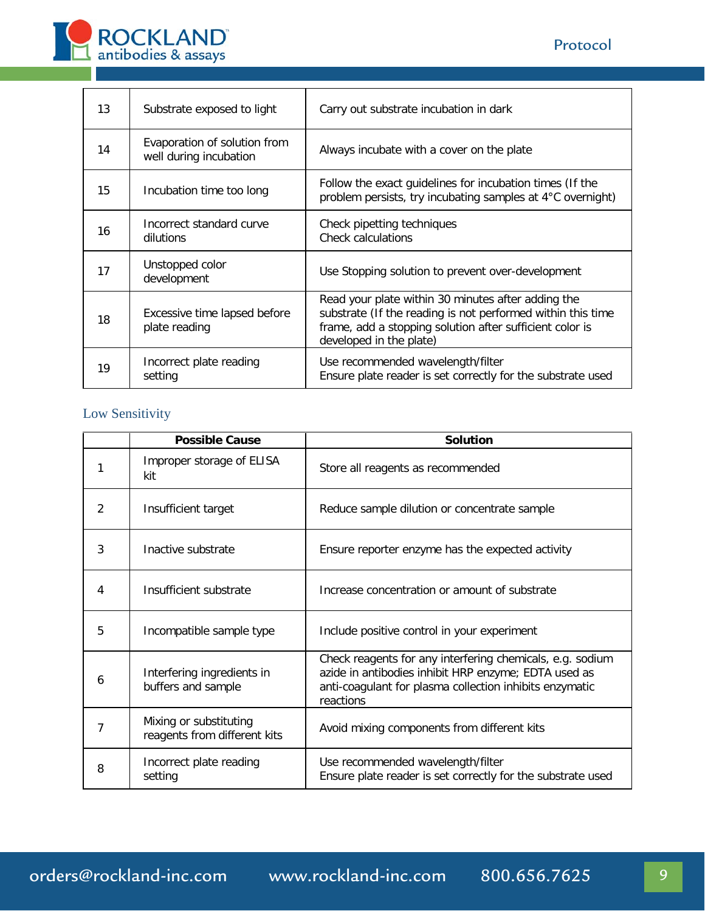

| 13 | Substrate exposed to light                             | Carry out substrate incubation in dark                                                                                                                                                                   |
|----|--------------------------------------------------------|----------------------------------------------------------------------------------------------------------------------------------------------------------------------------------------------------------|
| 14 | Evaporation of solution from<br>well during incubation | Always incubate with a cover on the plate                                                                                                                                                                |
| 15 | Incubation time too long                               | Follow the exact guidelines for incubation times (If the<br>problem persists, try incubating samples at 4°C overnight)                                                                                   |
| 16 | Incorrect standard curve<br>dilutions                  | Check pipetting techniques<br><b>Check calculations</b>                                                                                                                                                  |
| 17 | Unstopped color<br>development                         | Use Stopping solution to prevent over-development                                                                                                                                                        |
| 18 | Excessive time lapsed before<br>plate reading          | Read your plate within 30 minutes after adding the<br>substrate (If the reading is not performed within this time<br>frame, add a stopping solution after sufficient color is<br>developed in the plate) |
| 19 | Incorrect plate reading<br>setting                     | Use recommended wavelength/filter<br>Ensure plate reader is set correctly for the substrate used                                                                                                         |

# Low Sensitivity

|   | <b>Possible Cause</b>                                  | <b>Solution</b>                                                                                                                                                                           |
|---|--------------------------------------------------------|-------------------------------------------------------------------------------------------------------------------------------------------------------------------------------------------|
|   | Improper storage of ELISA<br>kit                       | Store all reagents as recommended                                                                                                                                                         |
| 2 | Insufficient target                                    | Reduce sample dilution or concentrate sample                                                                                                                                              |
| 3 | Inactive substrate                                     | Ensure reporter enzyme has the expected activity                                                                                                                                          |
| 4 | Insufficient substrate                                 | Increase concentration or amount of substrate                                                                                                                                             |
| 5 | Incompatible sample type                               | Include positive control in your experiment                                                                                                                                               |
| 6 | Interfering ingredients in<br>buffers and sample       | Check reagents for any interfering chemicals, e.g. sodium<br>azide in antibodies inhibit HRP enzyme; EDTA used as<br>anti-coagulant for plasma collection inhibits enzymatic<br>reactions |
| 7 | Mixing or substituting<br>reagents from different kits | Avoid mixing components from different kits                                                                                                                                               |
| 8 | Incorrect plate reading<br>setting                     | Use recommended wavelength/filter<br>Ensure plate reader is set correctly for the substrate used                                                                                          |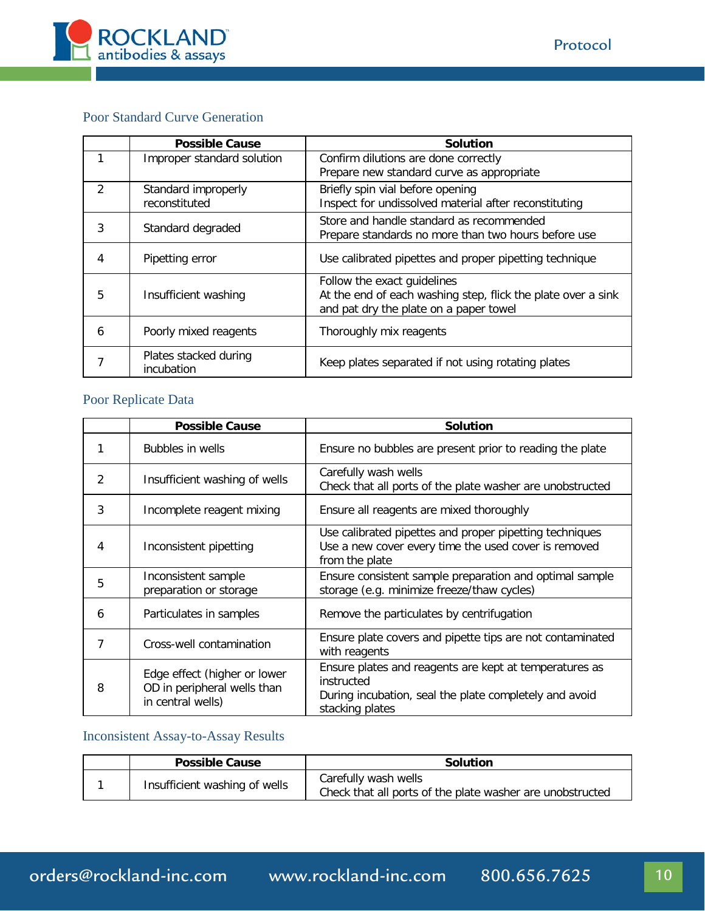

# Poor Standard Curve Generation

|                        | <b>Possible Cause</b>                               | <b>Solution</b>                                              |
|------------------------|-----------------------------------------------------|--------------------------------------------------------------|
|                        | Improper standard solution                          | Confirm dilutions are done correctly                         |
|                        |                                                     | Prepare new standard curve as appropriate                    |
| $\mathcal{P}$          | Standard improperly                                 | Briefly spin vial before opening                             |
|                        | reconstituted                                       | Inspect for undissolved material after reconstituting        |
|                        |                                                     | Store and handle standard as recommended                     |
| 3<br>Standard degraded | Prepare standards no more than two hours before use |                                                              |
| 4                      | Pipetting error                                     | Use calibrated pipettes and proper pipetting technique       |
|                        |                                                     |                                                              |
|                        |                                                     | Follow the exact guidelines                                  |
| 5                      | Insufficient washing                                | At the end of each washing step, flick the plate over a sink |
|                        |                                                     | and pat dry the plate on a paper towel                       |
| 6                      | Poorly mixed reagents                               | Thoroughly mix reagents                                      |
|                        |                                                     |                                                              |
|                        | Plates stacked during                               | Keep plates separated if not using rotating plates           |
|                        | incubation                                          |                                                              |

# Poor Replicate Data

|   | <b>Possible Cause</b>                                                            | <b>Solution</b>                                                                                                                                   |  |
|---|----------------------------------------------------------------------------------|---------------------------------------------------------------------------------------------------------------------------------------------------|--|
|   | Bubbles in wells                                                                 | Ensure no bubbles are present prior to reading the plate                                                                                          |  |
| 2 | Insufficient washing of wells                                                    | Carefully wash wells<br>Check that all ports of the plate washer are unobstructed                                                                 |  |
| 3 | Incomplete reagent mixing                                                        | Ensure all reagents are mixed thoroughly                                                                                                          |  |
| 4 | Inconsistent pipetting                                                           | Use calibrated pipettes and proper pipetting techniques<br>Use a new cover every time the used cover is removed<br>from the plate                 |  |
| 5 | Inconsistent sample<br>preparation or storage                                    | Ensure consistent sample preparation and optimal sample<br>storage (e.g. minimize freeze/thaw cycles)                                             |  |
| 6 | Particulates in samples                                                          | Remove the particulates by centrifugation                                                                                                         |  |
| 7 | Cross-well contamination                                                         | Ensure plate covers and pipette tips are not contaminated<br>with reagents                                                                        |  |
| 8 | Edge effect (higher or lower<br>OD in peripheral wells than<br>in central wells) | Ensure plates and reagents are kept at temperatures as<br>instructed<br>During incubation, seal the plate completely and avoid<br>stacking plates |  |

# Inconsistent Assay-to-Assay Results

| <b>Possible Cause</b>         | <b>Solution</b>                                                                   |  |
|-------------------------------|-----------------------------------------------------------------------------------|--|
| Insufficient washing of wells | Carefully wash wells<br>Check that all ports of the plate washer are unobstructed |  |